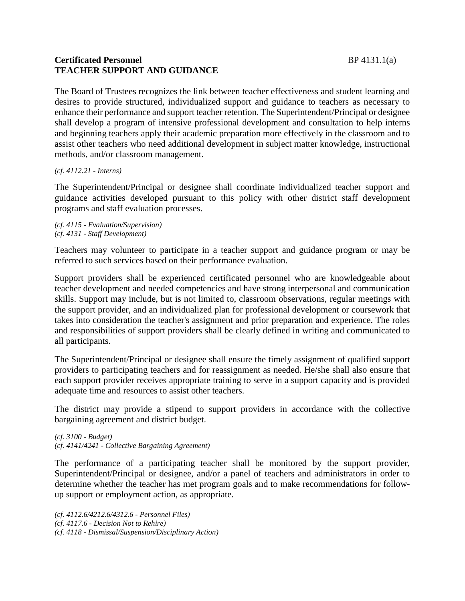# **Certificated Personnel** BP 4131.1(a) **TEACHER SUPPORT AND GUIDANCE**

The Board of Trustees recognizes the link between teacher effectiveness and student learning and desires to provide structured, individualized support and guidance to teachers as necessary to enhance their performance and support teacher retention. The Superintendent/Principal or designee shall develop a program of intensive professional development and consultation to help interns and beginning teachers apply their academic preparation more effectively in the classroom and to assist other teachers who need additional development in subject matter knowledge, instructional methods, and/or classroom management.

*(cf. 4112.21 - Interns)*

The Superintendent/Principal or designee shall coordinate individualized teacher support and guidance activities developed pursuant to this policy with other district staff development programs and staff evaluation processes.

*(cf. 4115 - Evaluation/Supervision) (cf. 4131 - Staff Development)*

Teachers may volunteer to participate in a teacher support and guidance program or may be referred to such services based on their performance evaluation.

Support providers shall be experienced certificated personnel who are knowledgeable about teacher development and needed competencies and have strong interpersonal and communication skills. Support may include, but is not limited to, classroom observations, regular meetings with the support provider, and an individualized plan for professional development or coursework that takes into consideration the teacher's assignment and prior preparation and experience. The roles and responsibilities of support providers shall be clearly defined in writing and communicated to all participants.

The Superintendent/Principal or designee shall ensure the timely assignment of qualified support providers to participating teachers and for reassignment as needed. He/she shall also ensure that each support provider receives appropriate training to serve in a support capacity and is provided adequate time and resources to assist other teachers.

The district may provide a stipend to support providers in accordance with the collective bargaining agreement and district budget.

*(cf. 3100 - Budget) (cf. 4141/4241 - Collective Bargaining Agreement)*

The performance of a participating teacher shall be monitored by the support provider, Superintendent/Principal or designee, and/or a panel of teachers and administrators in order to determine whether the teacher has met program goals and to make recommendations for followup support or employment action, as appropriate.

*(cf. 4112.6/4212.6/4312.6 - Personnel Files) (cf. 4117.6 - Decision Not to Rehire) (cf. 4118 - Dismissal/Suspension/Disciplinary Action)*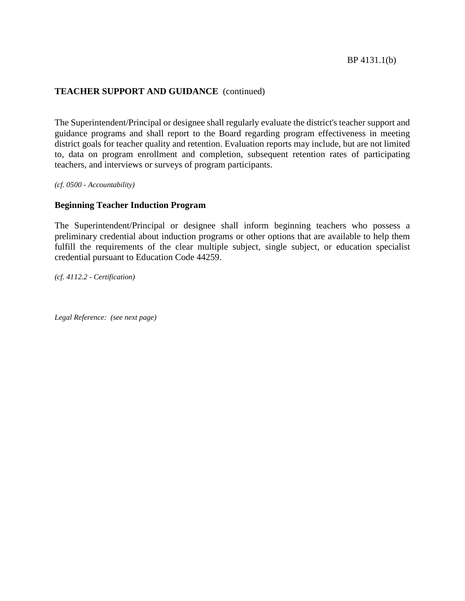# **TEACHER SUPPORT AND GUIDANCE** (continued)

The Superintendent/Principal or designee shall regularly evaluate the district's teacher support and guidance programs and shall report to the Board regarding program effectiveness in meeting district goals for teacher quality and retention. Evaluation reports may include, but are not limited to, data on program enrollment and completion, subsequent retention rates of participating teachers, and interviews or surveys of program participants.

*(cf. 0500 - Accountability)*

### **Beginning Teacher Induction Program**

The Superintendent/Principal or designee shall inform beginning teachers who possess a preliminary credential about induction programs or other options that are available to help them fulfill the requirements of the clear multiple subject, single subject, or education specialist credential pursuant to Education Code 44259.

*(cf. 4112.2 - Certification)*

*Legal Reference: (see next page)*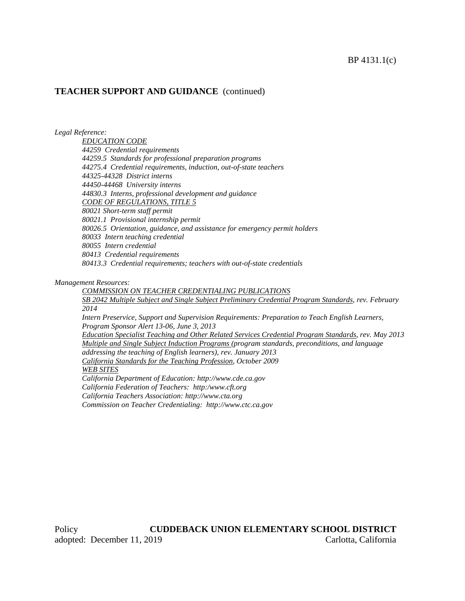#### **TEACHER SUPPORT AND GUIDANCE** (continued)

*Legal Reference:*

*EDUCATION CODE 44259 Credential requirements 44259.5 Standards for professional preparation programs 44275.4 Credential requirements, induction, out-of-state teachers 44325-44328 District interns 44450-44468 University interns 44830.3 Interns, professional development and guidance CODE OF REGULATIONS, TITLE 5 80021 Short-term staff permit 80021.1 Provisional internship permit 80026.5 Orientation, guidance, and assistance for emergency permit holders 80033 Intern teaching credential 80055 Intern credential 80413 Credential requirements 80413.3 Credential requirements; teachers with out-of-state credentials*

*Management Resources:*

*COMMISSION ON TEACHER CREDENTIALING PUBLICATIONS SB 2042 Multiple Subject and Single Subject Preliminary Credential Program Standards, rev. February 2014*

*Intern Preservice, Support and Supervision Requirements: Preparation to Teach English Learners, Program Sponsor Alert 13-06, June 3, 2013*

*Education Specialist Teaching and Other Related Services Credential Program Standards, rev. May 2013 Multiple and Single Subject Induction Programs (program standards, preconditions, and language addressing the teaching of English learners), rev. January 2013 California Standards for the Teaching Profession, October 2009 WEB SITES California Department of Education: http://www.cde.ca.gov California Federation of Teachers: http:/www.cft.org*

*California Teachers Association: http://www.cta.org*

*Commission on Teacher Credentialing: http://www.ctc.ca.gov*

Policy **CUDDEBACK UNION ELEMENTARY SCHOOL DISTRICT** adopted: December 11, 2019 Carlotta, California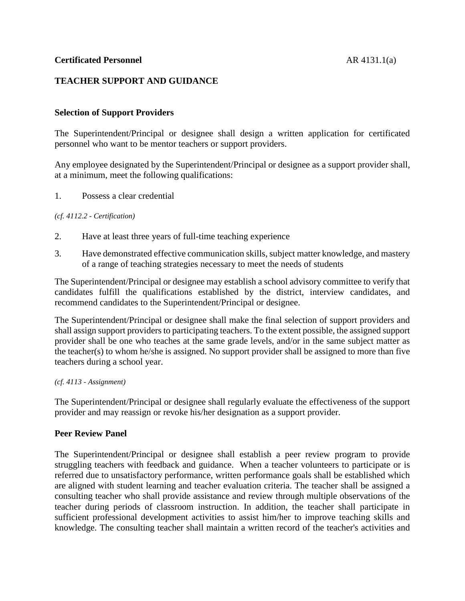## **TEACHER SUPPORT AND GUIDANCE**

## **Selection of Support Providers**

The Superintendent/Principal or designee shall design a written application for certificated personnel who want to be mentor teachers or support providers.

Any employee designated by the Superintendent/Principal or designee as a support provider shall, at a minimum, meet the following qualifications:

1. Possess a clear credential

*(cf. 4112.2 - Certification)*

- 2. Have at least three years of full-time teaching experience
- 3. Have demonstrated effective communication skills, subject matter knowledge, and mastery of a range of teaching strategies necessary to meet the needs of students

The Superintendent/Principal or designee may establish a school advisory committee to verify that candidates fulfill the qualifications established by the district, interview candidates, and recommend candidates to the Superintendent/Principal or designee.

The Superintendent/Principal or designee shall make the final selection of support providers and shall assign support providers to participating teachers. To the extent possible, the assigned support provider shall be one who teaches at the same grade levels, and/or in the same subject matter as the teacher(s) to whom he/she is assigned. No support provider shall be assigned to more than five teachers during a school year.

#### *(cf. 4113 - Assignment)*

The Superintendent/Principal or designee shall regularly evaluate the effectiveness of the support provider and may reassign or revoke his/her designation as a support provider.

### **Peer Review Panel**

The Superintendent/Principal or designee shall establish a peer review program to provide struggling teachers with feedback and guidance. When a teacher volunteers to participate or is referred due to unsatisfactory performance, written performance goals shall be established which are aligned with student learning and teacher evaluation criteria. The teacher shall be assigned a consulting teacher who shall provide assistance and review through multiple observations of the teacher during periods of classroom instruction. In addition, the teacher shall participate in sufficient professional development activities to assist him/her to improve teaching skills and knowledge. The consulting teacher shall maintain a written record of the teacher's activities and